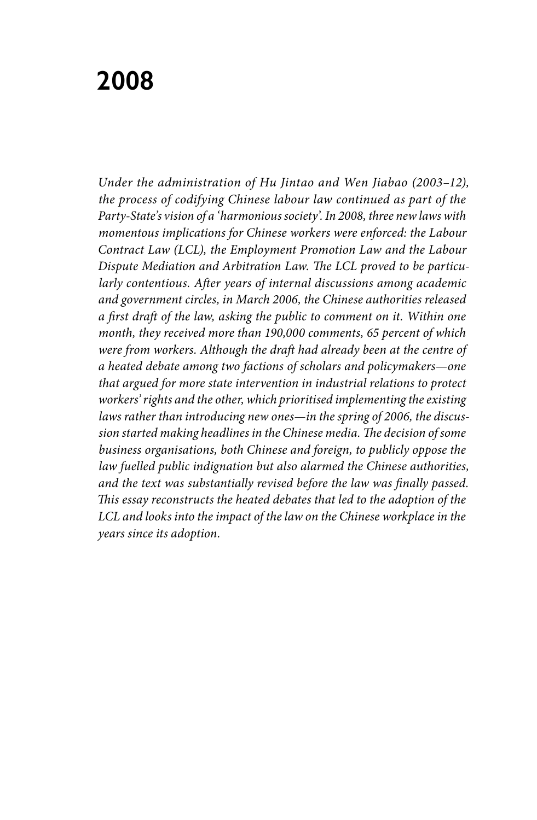# **2008**

*Under the administration of Hu Jintao and Wen Jiabao (2003–12), the process of codifying Chinese labour law continued as part of the Party-State's vision of a 'harmonious society'. In 2008, three new laws with momentous implications for Chinese workers were enforced: the Labour Contract Law (LCL), the Employment Promotion Law and the Labour Dispute Mediation and Arbitration Law. The LCL proved to be particularly contentious. After years of internal discussions among academic and government circles, in March 2006, the Chinese authorities released a first draft of the law, asking the public to comment on it. Within one month, they received more than 190,000 comments, 65 percent of which were from workers. Although the draft had already been at the centre of a heated debate among two factions of scholars and policymakers—one that argued for more state intervention in industrial relations to protect workers' rights and the other, which prioritised implementing the existing laws rather than introducing new ones—in the spring of 2006, the discussion started making headlines in the Chinese media. The decision of some business organisations, both Chinese and foreign, to publicly oppose the law fuelled public indignation but also alarmed the Chinese authorities, and the text was substantially revised before the law was finally passed. This essay reconstructs the heated debates that led to the adoption of the*  LCL and looks into the impact of the law on the Chinese workplace in the *years since its adoption.*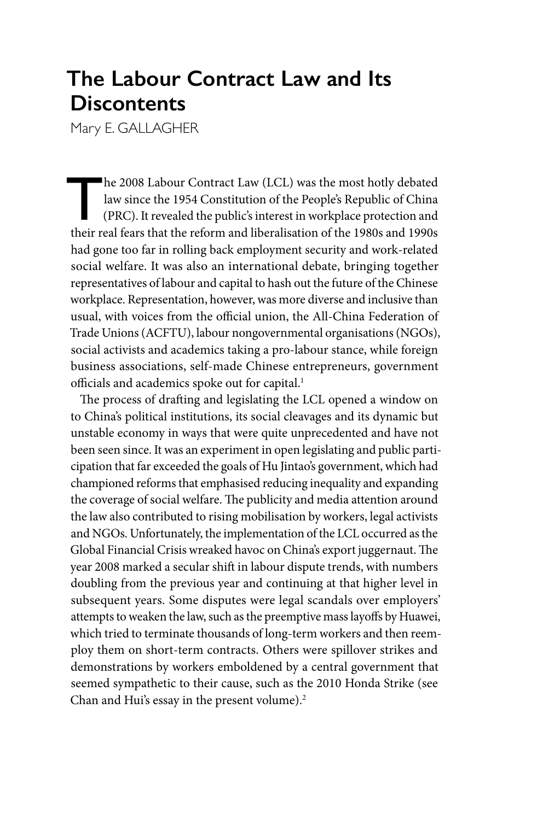# **The Labour Contract Law and Its Discontents**

Mary E. GALLAGHER

he 2008 Labour Contract Law (LCL) was the most hotly debated<br>law since the 1954 Constitution of the People's Republic of China<br>(PRC). It revealed the public's interest in workplace protection and<br>their real fears that the law since the 1954 Constitution of the People's Republic of China (PRC). It revealed the public's interest in workplace protection and their real fears that the reform and liberalisation of the 1980s and 1990s had gone too far in rolling back employment security and work-related social welfare. It was also an international debate, bringing together representatives of labour and capital to hash out the future of the Chinese workplace. Representation, however, was more diverse and inclusive than usual, with voices from the official union, the All-China Federation of Trade Unions (ACFTU), labour nongovernmental organisations (NGOs), social activists and academics taking a pro-labour stance, while foreign business associations, self-made Chinese entrepreneurs, government officials and academics spoke out for capital.<sup>1</sup>

The process of drafting and legislating the LCL opened a window on to China's political institutions, its social cleavages and its dynamic but unstable economy in ways that were quite unprecedented and have not been seen since. It was an experiment in open legislating and public participation that far exceeded the goals of Hu Jintao's government, which had championed reforms that emphasised reducing inequality and expanding the coverage of social welfare. The publicity and media attention around the law also contributed to rising mobilisation by workers, legal activists and NGOs. Unfortunately, the implementation of the LCL occurred as the Global Financial Crisis wreaked havoc on China's export juggernaut. The year 2008 marked a secular shift in labour dispute trends, with numbers doubling from the previous year and continuing at that higher level in subsequent years. Some disputes were legal scandals over employers' attempts to weaken the law, such as the preemptive mass layoffs by Huawei, which tried to terminate thousands of long-term workers and then reemploy them on short-term contracts. Others were spillover strikes and demonstrations by workers emboldened by a central government that seemed sympathetic to their cause, such as the 2010 Honda Strike (see Chan and Hui's essay in the present volume).<sup>2</sup>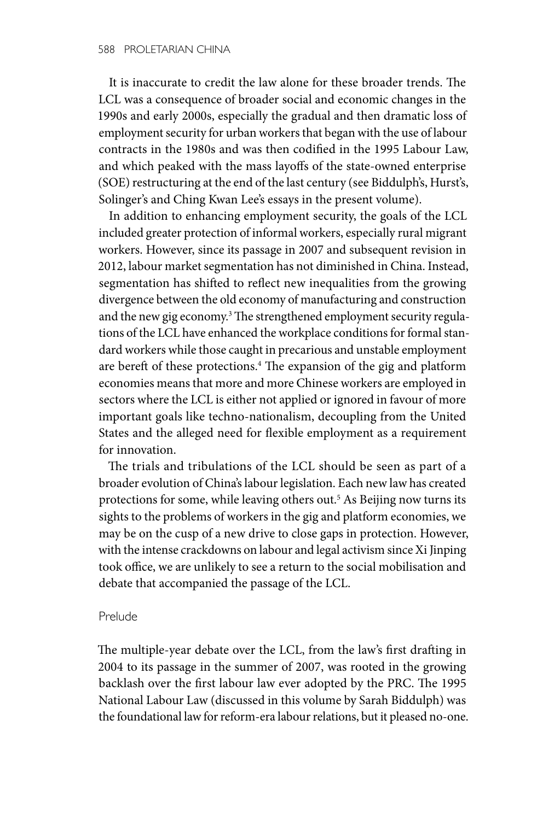It is inaccurate to credit the law alone for these broader trends. The LCL was a consequence of broader social and economic changes in the 1990s and early 2000s, especially the gradual and then dramatic loss of employment security for urban workers that began with the use of labour contracts in the 1980s and was then codified in the 1995 Labour Law, and which peaked with the mass layoffs of the state-owned enterprise (SOE) restructuring at the end of the last century (see Biddulph's, Hurst's, Solinger's and Ching Kwan Lee's essays in the present volume).

In addition to enhancing employment security, the goals of the LCL included greater protection of informal workers, especially rural migrant workers. However, since its passage in 2007 and subsequent revision in 2012, labour market segmentation has not diminished in China. Instead, segmentation has shifted to reflect new inequalities from the growing divergence between the old economy of manufacturing and construction and the new gig economy.<sup>3</sup> The strengthened employment security regulations of the LCL have enhanced the workplace conditions for formal standard workers while those caught in precarious and unstable employment are bereft of these protections.<sup>4</sup> The expansion of the gig and platform economies means that more and more Chinese workers are employed in sectors where the LCL is either not applied or ignored in favour of more important goals like techno-nationalism, decoupling from the United States and the alleged need for flexible employment as a requirement for innovation.

The trials and tribulations of the LCL should be seen as part of a broader evolution of China's labour legislation. Each new law has created protections for some, while leaving others out.<sup>5</sup> As Beijing now turns its sights to the problems of workers in the gig and platform economies, we may be on the cusp of a new drive to close gaps in protection. However, with the intense crackdowns on labour and legal activism since Xi Jinping took office, we are unlikely to see a return to the social mobilisation and debate that accompanied the passage of the LCL.

# Prelude

The multiple-year debate over the LCL, from the law's first drafting in 2004 to its passage in the summer of 2007, was rooted in the growing backlash over the first labour law ever adopted by the PRC. The 1995 National Labour Law (discussed in this volume by Sarah Biddulph) was the foundational law for reform-era labour relations, but it pleased no-one.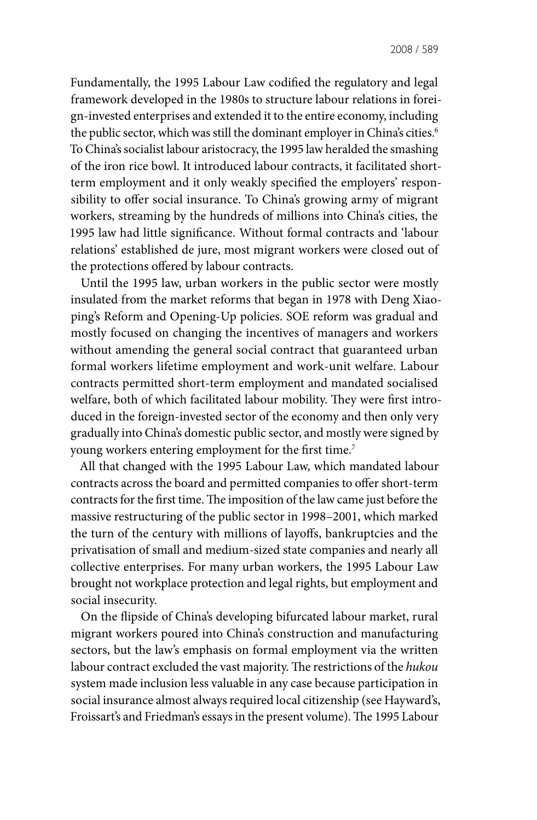Fundamentally, the 1995 Labour Law codified the regulatory and legal framework developed in the 1980s to structure labour relations in foreign-invested enterprises and extended it to the entire economy, including the public sector, which was still the dominant employer in China's cities.<sup>6</sup> To China's socialist labour aristocracy, the 1995 law heralded the smashing of the iron rice bowl. It introduced labour contracts, it facilitated shortterm employment and it only weakly specified the employers' responsibility to offer social insurance. To China's growing army of migrant workers, streaming by the hundreds of millions into China's cities, the 1995 law had little significance. Without formal contracts and 'labour relations' established de jure, most migrant workers were closed out of the protections offered by labour contracts.

Until the 1995 law, urban workers in the public sector were mostly insulated from the market reforms that began in 1978 with Deng Xiaoping's Reform and Opening-Up policies. SOE reform was gradual and mostly focused on changing the incentives of managers and workers without amending the general social contract that guaranteed urban formal workers lifetime employment and work-unit welfare. Labour contracts permitted short-term employment and mandated socialised welfare, both of which facilitated labour mobility. They were first introduced in the foreign-invested sector of the economy and then only very gradually into China's domestic public sector, and mostly were signed by young workers entering employment for the first time.<sup>7</sup>

All that changed with the 1995 Labour Law, which mandated labour contracts across the board and permitted companies to offer short-term contracts for the first time. The imposition of the law came just before the massive restructuring of the public sector in 1998–2001, which marked the turn of the century with millions of layoffs, bankruptcies and the privatisation of small and medium-sized state companies and nearly all collective enterprises. For many urban workers, the 1995 Labour Law brought not workplace protection and legal rights, but employment and social insecurity.

On the flipside of China's developing bifurcated labour market, rural migrant workers poured into China's construction and manufacturing sectors, but the law's emphasis on formal employment via the written labour contract excluded the vast majority. The restrictions of the *hukou* system made inclusion less valuable in any case because participation in social insurance almost always required local citizenship (see Hayward's, Froissart's and Friedman's essays in the present volume). The 1995 Labour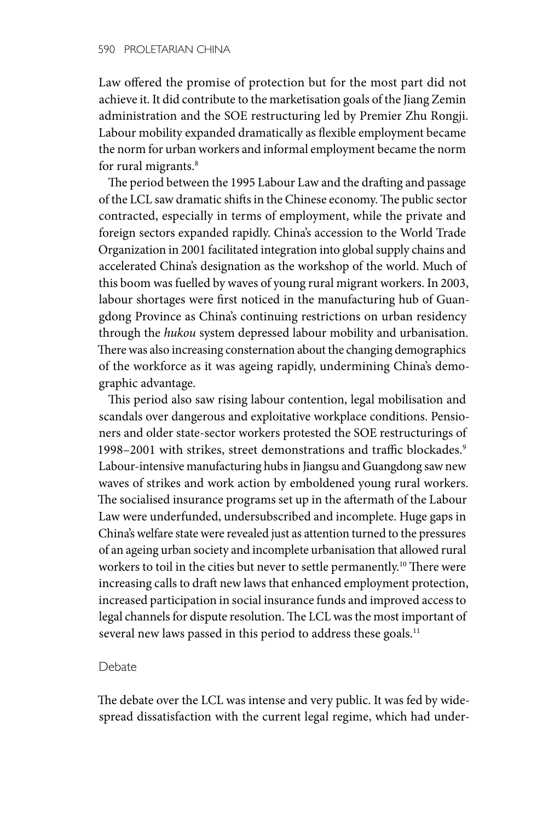Law offered the promise of protection but for the most part did not achieve it. It did contribute to the marketisation goals of the Jiang Zemin administration and the SOE restructuring led by Premier Zhu Rongji. Labour mobility expanded dramatically as flexible employment became the norm for urban workers and informal employment became the norm for rural migrants.<sup>8</sup>

The period between the 1995 Labour Law and the drafting and passage of the LCL saw dramatic shifts in the Chinese economy. The public sector contracted, especially in terms of employment, while the private and foreign sectors expanded rapidly. China's accession to the World Trade Organization in 2001 facilitated integration into global supply chains and accelerated China's designation as the workshop of the world. Much of this boom was fuelled by waves of young rural migrant workers. In 2003, labour shortages were first noticed in the manufacturing hub of Guangdong Province as China's continuing restrictions on urban residency through the *hukou* system depressed labour mobility and urbanisation. There was also increasing consternation about the changing demographics of the workforce as it was ageing rapidly, undermining China's demographic advantage.

This period also saw rising labour contention, legal mobilisation and scandals over dangerous and exploitative workplace conditions. Pensioners and older state-sector workers protested the SOE restructurings of 1998–2001 with strikes, street demonstrations and traffic blockades.<sup>9</sup> Labour-intensive manufacturing hubs in Jiangsu and Guangdong saw new waves of strikes and work action by emboldened young rural workers. The socialised insurance programs set up in the aftermath of the Labour Law were underfunded, undersubscribed and incomplete. Huge gaps in China's welfare state were revealed just as attention turned to the pressures of an ageing urban society and incomplete urbanisation that allowed rural workers to toil in the cities but never to settle permanently.<sup>10</sup> There were increasing calls to draft new laws that enhanced employment protection, increased participation in social insurance funds and improved access to legal channels for dispute resolution. The LCL was the most important of several new laws passed in this period to address these goals.<sup>11</sup>

## Debate

The debate over the LCL was intense and very public. It was fed by widespread dissatisfaction with the current legal regime, which had under-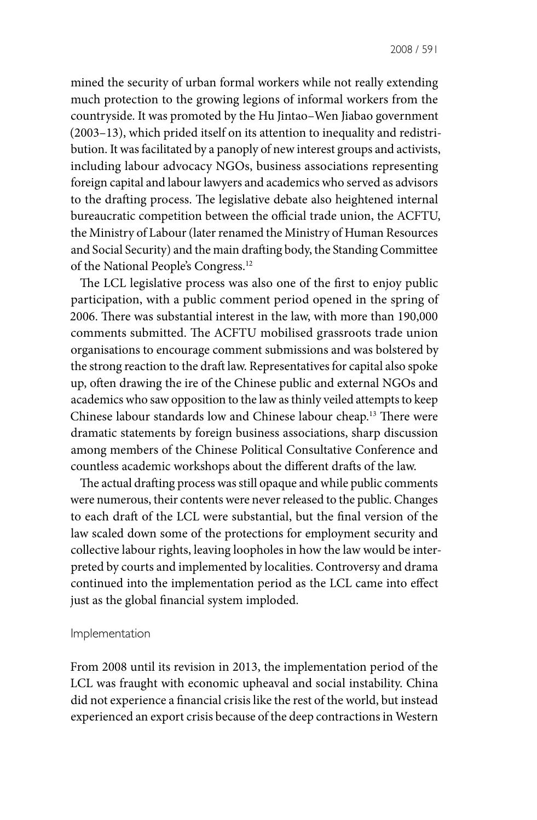mined the security of urban formal workers while not really extending much protection to the growing legions of informal workers from the countryside. It was promoted by the Hu Jintao–Wen Jiabao government (2003–13), which prided itself on its attention to inequality and redistribution. It was facilitated by a panoply of new interest groups and activists, including labour advocacy NGOs, business associations representing foreign capital and labour lawyers and academics who served as advisors to the drafting process. The legislative debate also heightened internal bureaucratic competition between the official trade union, the ACFTU, the Ministry of Labour (later renamed the Ministry of Human Resources and Social Security) and the main drafting body, the Standing Committee of the National People's Congress.12

The LCL legislative process was also one of the first to enjoy public participation, with a public comment period opened in the spring of 2006. There was substantial interest in the law, with more than 190,000 comments submitted. The ACFTU mobilised grassroots trade union organisations to encourage comment submissions and was bolstered by the strong reaction to the draft law. Representatives for capital also spoke up, often drawing the ire of the Chinese public and external NGOs and academics who saw opposition to the law as thinly veiled attempts to keep Chinese labour standards low and Chinese labour cheap.13 There were dramatic statements by foreign business associations, sharp discussion among members of the Chinese Political Consultative Conference and countless academic workshops about the different drafts of the law.

The actual drafting process was still opaque and while public comments were numerous, their contents were never released to the public. Changes to each draft of the LCL were substantial, but the final version of the law scaled down some of the protections for employment security and collective labour rights, leaving loopholes in how the law would be interpreted by courts and implemented by localities. Controversy and drama continued into the implementation period as the LCL came into effect just as the global financial system imploded.

#### Implementation

From 2008 until its revision in 2013, the implementation period of the LCL was fraught with economic upheaval and social instability. China did not experience a financial crisis like the rest of the world, but instead experienced an export crisis because of the deep contractions in Western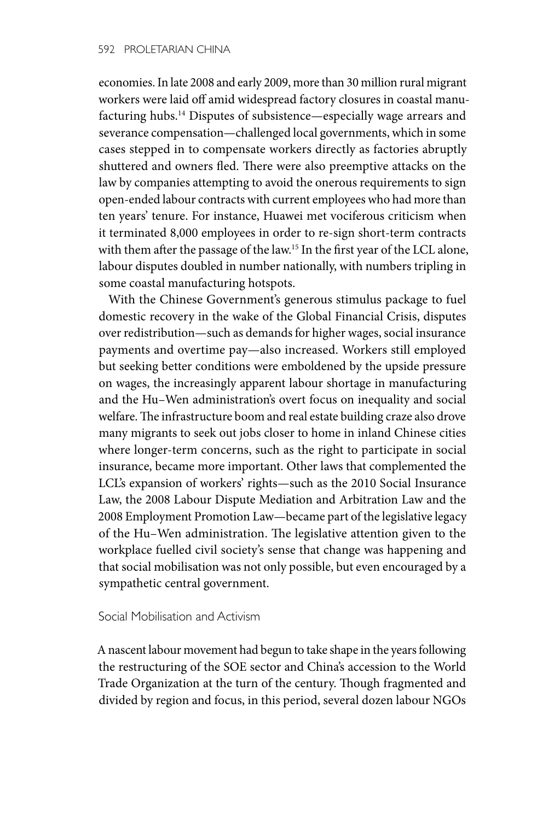economies. In late 2008 and early 2009, more than 30 million rural migrant workers were laid off amid widespread factory closures in coastal manufacturing hubs.14 Disputes of subsistence—especially wage arrears and severance compensation—challenged local governments, which in some cases stepped in to compensate workers directly as factories abruptly shuttered and owners fled. There were also preemptive attacks on the law by companies attempting to avoid the onerous requirements to sign open-ended labour contracts with current employees who had more than ten years' tenure. For instance, Huawei met vociferous criticism when it terminated 8,000 employees in order to re-sign short-term contracts with them after the passage of the law.<sup>15</sup> In the first year of the LCL alone, labour disputes doubled in number nationally, with numbers tripling in some coastal manufacturing hotspots.

With the Chinese Government's generous stimulus package to fuel domestic recovery in the wake of the Global Financial Crisis, disputes over redistribution—such as demands for higher wages, social insurance payments and overtime pay—also increased. Workers still employed but seeking better conditions were emboldened by the upside pressure on wages, the increasingly apparent labour shortage in manufacturing and the Hu–Wen administration's overt focus on inequality and social welfare. The infrastructure boom and real estate building craze also drove many migrants to seek out jobs closer to home in inland Chinese cities where longer-term concerns, such as the right to participate in social insurance, became more important. Other laws that complemented the LCL's expansion of workers' rights—such as the 2010 Social Insurance Law, the 2008 Labour Dispute Mediation and Arbitration Law and the 2008 Employment Promotion Law—became part of the legislative legacy of the Hu–Wen administration. The legislative attention given to the workplace fuelled civil society's sense that change was happening and that social mobilisation was not only possible, but even encouraged by a sympathetic central government.

# Social Mobilisation and Activism

A nascent labour movement had begun to take shape in the years following the restructuring of the SOE sector and China's accession to the World Trade Organization at the turn of the century. Though fragmented and divided by region and focus, in this period, several dozen labour NGOs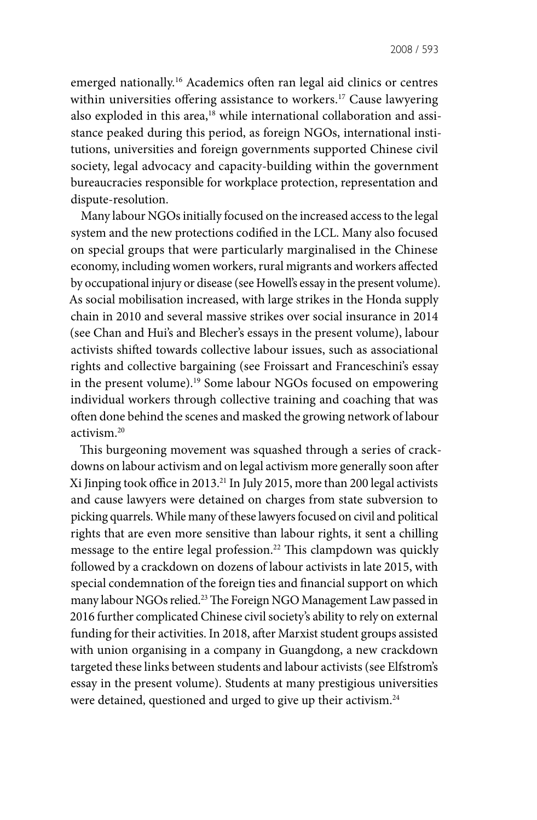emerged nationally.<sup>16</sup> Academics often ran legal aid clinics or centres within universities offering assistance to workers.<sup>17</sup> Cause lawyering also exploded in this area,<sup>18</sup> while international collaboration and assistance peaked during this period, as foreign NGOs, international institutions, universities and foreign governments supported Chinese civil society, legal advocacy and capacity-building within the government bureaucracies responsible for workplace protection, representation and dispute-resolution.

Many labour NGOs initially focused on the increased access to the legal system and the new protections codified in the LCL. Many also focused on special groups that were particularly marginalised in the Chinese economy, including women workers, rural migrants and workers affected by occupational injury or disease (see Howell's essay in the present volume). As social mobilisation increased, with large strikes in the Honda supply chain in 2010 and several massive strikes over social insurance in 2014 (see Chan and Hui's and Blecher's essays in the present volume), labour activists shifted towards collective labour issues, such as associational rights and collective bargaining (see Froissart and Franceschini's essay in the present volume).19 Some labour NGOs focused on empowering individual workers through collective training and coaching that was often done behind the scenes and masked the growing network of labour activism.20

This burgeoning movement was squashed through a series of crackdowns on labour activism and on legal activism more generally soon after Xi Jinping took office in 2013.21 In July 2015, more than 200 legal activists and cause lawyers were detained on charges from state subversion to picking quarrels. While many of these lawyers focused on civil and political rights that are even more sensitive than labour rights, it sent a chilling message to the entire legal profession.<sup>22</sup> This clampdown was quickly followed by a crackdown on dozens of labour activists in late 2015, with special condemnation of the foreign ties and financial support on which many labour NGOs relied.23 The Foreign NGO Management Law passed in 2016 further complicated Chinese civil society's ability to rely on external funding for their activities. In 2018, after Marxist student groups assisted with union organising in a company in Guangdong, a new crackdown targeted these links between students and labour activists (see Elfstrom's essay in the present volume). Students at many prestigious universities were detained, questioned and urged to give up their activism.<sup>24</sup>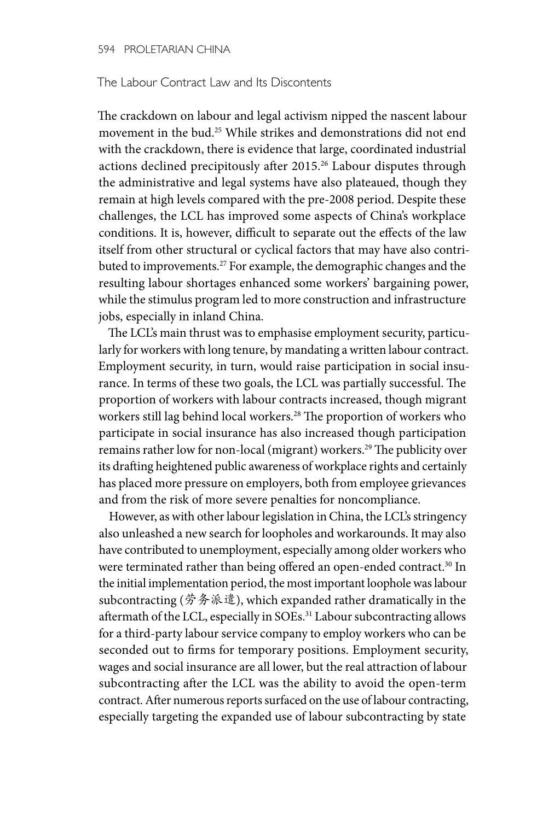## The Labour Contract Law and Its Discontents

The crackdown on labour and legal activism nipped the nascent labour movement in the bud.25 While strikes and demonstrations did not end with the crackdown, there is evidence that large, coordinated industrial actions declined precipitously after 2015.<sup>26</sup> Labour disputes through the administrative and legal systems have also plateaued, though they remain at high levels compared with the pre-2008 period. Despite these challenges, the LCL has improved some aspects of China's workplace conditions. It is, however, difficult to separate out the effects of the law itself from other structural or cyclical factors that may have also contributed to improvements.<sup>27</sup> For example, the demographic changes and the resulting labour shortages enhanced some workers' bargaining power, while the stimulus program led to more construction and infrastructure jobs, especially in inland China.

The LCL's main thrust was to emphasise employment security, particularly for workers with long tenure, by mandating a written labour contract. Employment security, in turn, would raise participation in social insurance. In terms of these two goals, the LCL was partially successful. The proportion of workers with labour contracts increased, though migrant workers still lag behind local workers.<sup>28</sup> The proportion of workers who participate in social insurance has also increased though participation remains rather low for non-local (migrant) workers.<sup>29</sup> The publicity over its drafting heightened public awareness of workplace rights and certainly has placed more pressure on employers, both from employee grievances and from the risk of more severe penalties for noncompliance.

However, as with other labour legislation in China, the LCL's stringency also unleashed a new search for loopholes and workarounds. It may also have contributed to unemployment, especially among older workers who were terminated rather than being offered an open-ended contract.<sup>30</sup> In the initial implementation period, the most important loophole was labour subcontracting (劳务派遣), which expanded rather dramatically in the aftermath of the LCL, especially in SOEs.<sup>31</sup> Labour subcontracting allows for a third-party labour service company to employ workers who can be seconded out to firms for temporary positions. Employment security, wages and social insurance are all lower, but the real attraction of labour subcontracting after the LCL was the ability to avoid the open-term contract. After numerous reports surfaced on the use of labour contracting, especially targeting the expanded use of labour subcontracting by state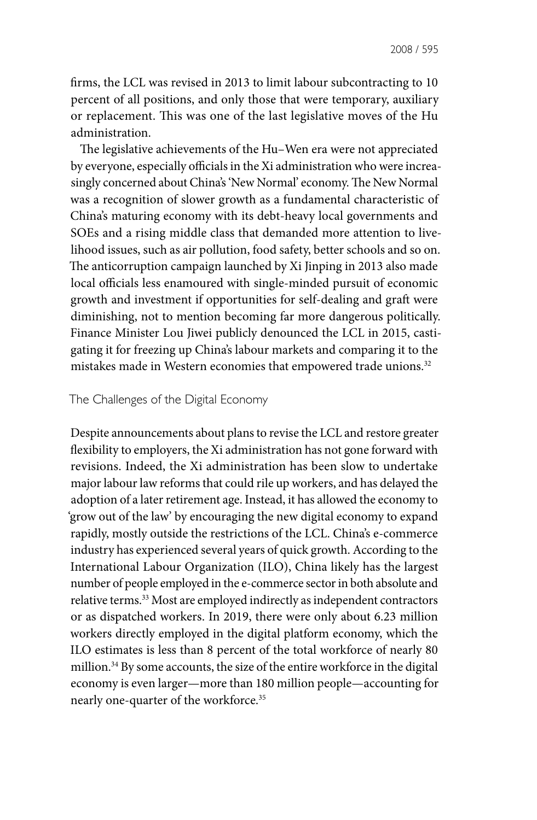firms, the LCL was revised in 2013 to limit labour subcontracting to 10 percent of all positions, and only those that were temporary, auxiliary or replacement. This was one of the last legislative moves of the Hu administration.

The legislative achievements of the Hu–Wen era were not appreciated by everyone, especially officials in the Xi administration who were increasingly concerned about China's 'New Normal' economy. The New Normal was a recognition of slower growth as a fundamental characteristic of China's maturing economy with its debt-heavy local governments and SOEs and a rising middle class that demanded more attention to livelihood issues, such as air pollution, food safety, better schools and so on. The anticorruption campaign launched by Xi Jinping in 2013 also made local officials less enamoured with single-minded pursuit of economic growth and investment if opportunities for self-dealing and graft were diminishing, not to mention becoming far more dangerous politically. Finance Minister Lou Jiwei publicly denounced the LCL in 2015, castigating it for freezing up China's labour markets and comparing it to the mistakes made in Western economies that empowered trade unions.<sup>32</sup>

# The Challenges of the Digital Economy

Despite announcements about plans to revise the LCL and restore greater flexibility to employers, the Xi administration has not gone forward with revisions. Indeed, the Xi administration has been slow to undertake major labour law reforms that could rile up workers, and has delayed the adoption of a later retirement age. Instead, it has allowed the economy to 'grow out of the law' by encouraging the new digital economy to expand rapidly, mostly outside the restrictions of the LCL. China's e-commerce industry has experienced several years of quick growth. According to the International Labour Organization (ILO), China likely has the largest number of people employed in the e-commerce sector in both absolute and relative terms.33 Most are employed indirectly as independent contractors or as dispatched workers. In 2019, there were only about 6.23 million workers directly employed in the digital platform economy, which the ILO estimates is less than 8 percent of the total workforce of nearly 80 million.34 By some accounts, the size of the entire workforce in the digital economy is even larger—more than 180 million people—accounting for nearly one-quarter of the workforce.35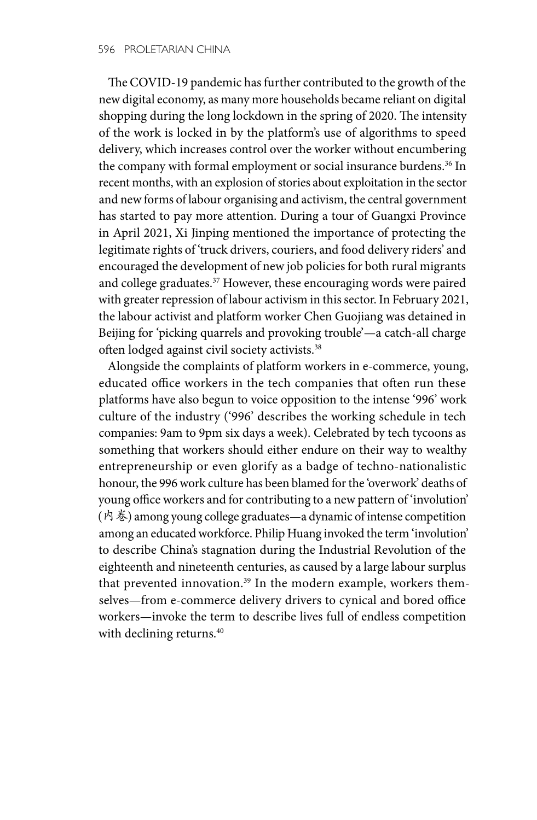The COVID-19 pandemic has further contributed to the growth of the new digital economy, as many more households became reliant on digital shopping during the long lockdown in the spring of 2020. The intensity of the work is locked in by the platform's use of algorithms to speed delivery, which increases control over the worker without encumbering the company with formal employment or social insurance burdens.<sup>36</sup> In recent months, with an explosion of stories about exploitation in the sector and new forms of labour organising and activism, the central government has started to pay more attention. During a tour of Guangxi Province in April 2021, Xi Jinping mentioned the importance of protecting the legitimate rights of 'truck drivers, couriers, and food delivery riders' and encouraged the development of new job policies for both rural migrants and college graduates.37 However, these encouraging words were paired with greater repression of labour activism in this sector. In February 2021, the labour activist and platform worker Chen Guojiang was detained in Beijing for 'picking quarrels and provoking trouble'—a catch-all charge often lodged against civil society activists.<sup>38</sup>

Alongside the complaints of platform workers in e-commerce, young, educated office workers in the tech companies that often run these platforms have also begun to voice opposition to the intense '996' work culture of the industry ('996' describes the working schedule in tech companies: 9am to 9pm six days a week). Celebrated by tech tycoons as something that workers should either endure on their way to wealthy entrepreneurship or even glorify as a badge of techno-nationalistic honour, the 996 work culture has been blamed for the 'overwork' deaths of young office workers and for contributing to a new pattern of 'involution' (内卷) among young college graduates—a dynamic of intense competition among an educated workforce. Philip Huang invoked the term 'involution' to describe China's stagnation during the Industrial Revolution of the eighteenth and nineteenth centuries, as caused by a large labour surplus that prevented innovation.<sup>39</sup> In the modern example, workers themselves—from e-commerce delivery drivers to cynical and bored office workers—invoke the term to describe lives full of endless competition with declining returns.<sup>40</sup>